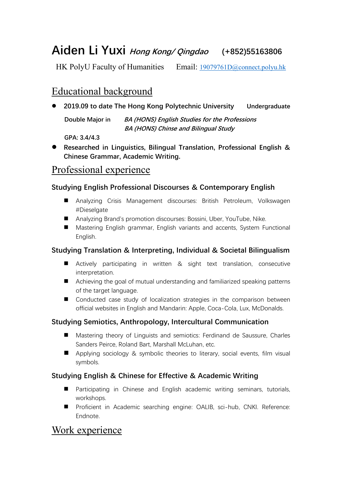# **Aiden Li Yuxi Hong Kong/ Qingdao (+852)55163806**

HK PolyU Faculty of Humanities Email: [19079761D@connect.polyu.hk](mailto:19079761D@connect.polyu.hk)

# Educational background

⚫ **2019.09 to date The Hong Kong Polytechnic University Undergraduate**

**Double Major in BA (HONS) English Studies for the Professions BA (HONS) Chinse and Bilingual Study**

**GPA: 3.4/4.3**

● Researched in Linguistics, Bilingual Translation, Professional English & **Chinese Grammar, Academic Writing.**

# Professional experience

### **Studying English Professional Discourses & Contemporary English**

- Analyzing Crisis Management discourses: British Petroleum, Volkswagen #Dieselgate
- Analyzing Brand's promotion discourses: Bossini, Uber, YouTube, Nike.
- Mastering English grammar, English variants and accents, System Functional English.

### **Studying Translation & Interpreting, Individual & Societal Bilingualism**

- Actively participating in written & sight text translation, consecutive interpretation.
- Achieving the goal of mutual understanding and familiarized speaking patterns of the target language.
- Conducted case study of localization strategies in the comparison between official websites in English and Mandarin: Apple, Coca-Cola, Lux, McDonalds.

### **Studying Semiotics, Anthropology, Intercultural Communication**

- Mastering theory of Linguists and semiotics: Ferdinand de Saussure, Charles Sanders Peirce, Roland Bart, Marshall McLuhan, etc.
- Applying sociology & symbolic theories to literary, social events, film visual symbols.

### **Studying English & Chinese for Effective & Academic Writing**

- Participating in Chinese and English academic writing seminars, tutorials, workshops.
- Proficient in Academic searching engine: OALIB, sci-hub, CNKI. Reference: Endnote.

# Work experience